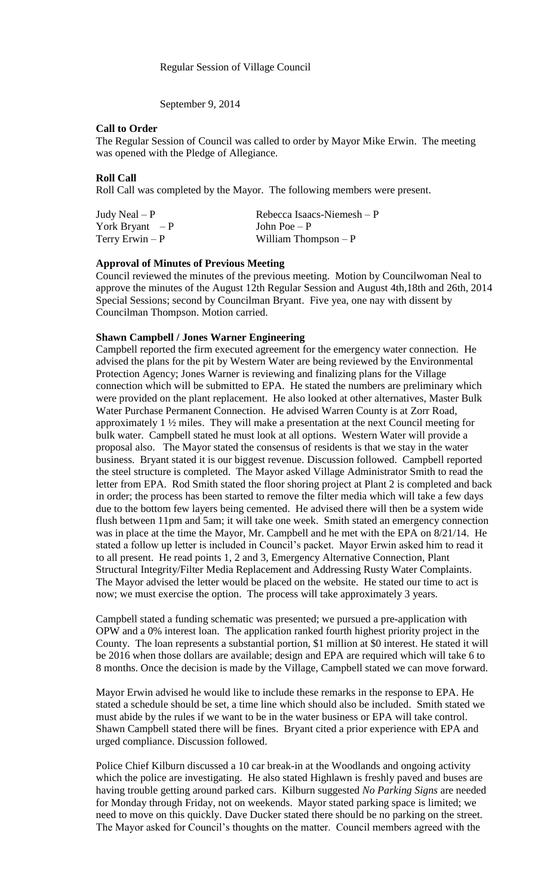September 9, 2014

## **Call to Order**

The Regular Session of Council was called to order by Mayor Mike Erwin. The meeting was opened with the Pledge of Allegiance.

## **Roll Call**

Roll Call was completed by the Mayor. The following members were present.

| Judy Neal $- P$  | Rebecca Isaacs-Niemesh $-P$ |
|------------------|-----------------------------|
| York Bryant $-P$ | John Poe $-P$               |
| Terry Erwin $-P$ | William Thompson $-P$       |

## **Approval of Minutes of Previous Meeting**

Council reviewed the minutes of the previous meeting. Motion by Councilwoman Neal to approve the minutes of the August 12th Regular Session and August 4th,18th and 26th, 2014 Special Sessions; second by Councilman Bryant. Five yea, one nay with dissent by Councilman Thompson. Motion carried.

## **Shawn Campbell / Jones Warner Engineering**

Campbell reported the firm executed agreement for the emergency water connection. He advised the plans for the pit by Western Water are being reviewed by the Environmental Protection Agency; Jones Warner is reviewing and finalizing plans for the Village connection which will be submitted to EPA. He stated the numbers are preliminary which were provided on the plant replacement. He also looked at other alternatives, Master Bulk Water Purchase Permanent Connection. He advised Warren County is at Zorr Road, approximately 1 ½ miles. They will make a presentation at the next Council meeting for bulk water. Campbell stated he must look at all options. Western Water will provide a proposal also. The Mayor stated the consensus of residents is that we stay in the water business. Bryant stated it is our biggest revenue. Discussion followed. Campbell reported the steel structure is completed. The Mayor asked Village Administrator Smith to read the letter from EPA. Rod Smith stated the floor shoring project at Plant 2 is completed and back in order; the process has been started to remove the filter media which will take a few days due to the bottom few layers being cemented. He advised there will then be a system wide flush between 11pm and 5am; it will take one week. Smith stated an emergency connection was in place at the time the Mayor, Mr. Campbell and he met with the EPA on 8/21/14. He stated a follow up letter is included in Council's packet. Mayor Erwin asked him to read it to all present. He read points 1, 2 and 3, Emergency Alternative Connection, Plant Structural Integrity/Filter Media Replacement and Addressing Rusty Water Complaints. The Mayor advised the letter would be placed on the website. He stated our time to act is now; we must exercise the option. The process will take approximately 3 years.

Campbell stated a funding schematic was presented; we pursued a pre-application with OPW and a 0% interest loan. The application ranked fourth highest priority project in the County. The loan represents a substantial portion, \$1 million at \$0 interest. He stated it will be 2016 when those dollars are available; design and EPA are required which will take 6 to 8 months. Once the decision is made by the Village, Campbell stated we can move forward.

Mayor Erwin advised he would like to include these remarks in the response to EPA. He stated a schedule should be set, a time line which should also be included. Smith stated we must abide by the rules if we want to be in the water business or EPA will take control. Shawn Campbell stated there will be fines. Bryant cited a prior experience with EPA and urged compliance. Discussion followed.

Police Chief Kilburn discussed a 10 car break-in at the Woodlands and ongoing activity which the police are investigating. He also stated Highlawn is freshly paved and buses are having trouble getting around parked cars. Kilburn suggested *No Parking Signs* are needed for Monday through Friday, not on weekends. Mayor stated parking space is limited; we need to move on this quickly. Dave Ducker stated there should be no parking on the street. The Mayor asked for Council's thoughts on the matter. Council members agreed with the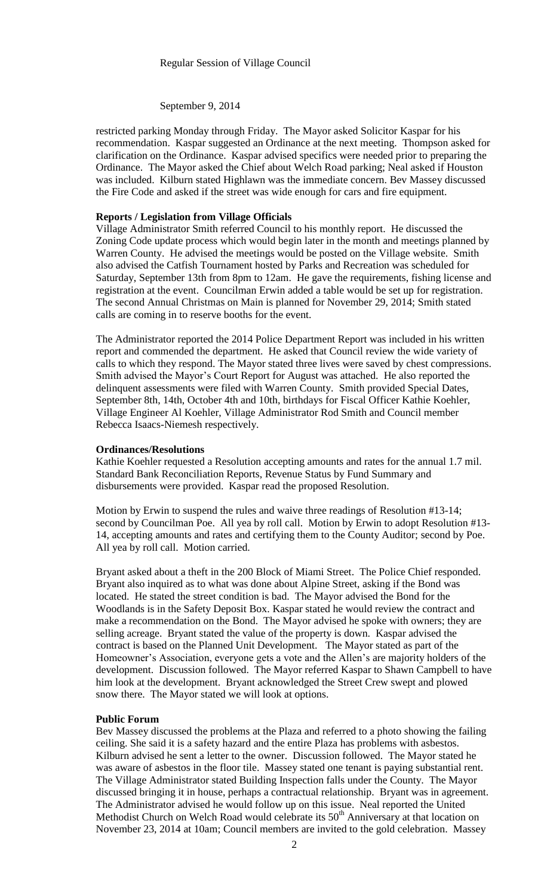#### Regular Session of Village Council

#### September 9, 2014

restricted parking Monday through Friday. The Mayor asked Solicitor Kaspar for his recommendation. Kaspar suggested an Ordinance at the next meeting. Thompson asked for clarification on the Ordinance. Kaspar advised specifics were needed prior to preparing the Ordinance. The Mayor asked the Chief about Welch Road parking; Neal asked if Houston was included. Kilburn stated Highlawn was the immediate concern. Bev Massey discussed the Fire Code and asked if the street was wide enough for cars and fire equipment.

#### **Reports / Legislation from Village Officials**

Village Administrator Smith referred Council to his monthly report. He discussed the Zoning Code update process which would begin later in the month and meetings planned by Warren County. He advised the meetings would be posted on the Village website. Smith also advised the Catfish Tournament hosted by Parks and Recreation was scheduled for Saturday, September 13th from 8pm to 12am. He gave the requirements, fishing license and registration at the event. Councilman Erwin added a table would be set up for registration. The second Annual Christmas on Main is planned for November 29, 2014; Smith stated calls are coming in to reserve booths for the event.

The Administrator reported the 2014 Police Department Report was included in his written report and commended the department. He asked that Council review the wide variety of calls to which they respond. The Mayor stated three lives were saved by chest compressions. Smith advised the Mayor's Court Report for August was attached. He also reported the delinquent assessments were filed with Warren County. Smith provided Special Dates, September 8th, 14th, October 4th and 10th, birthdays for Fiscal Officer Kathie Koehler, Village Engineer Al Koehler, Village Administrator Rod Smith and Council member Rebecca Isaacs-Niemesh respectively.

### **Ordinances/Resolutions**

Kathie Koehler requested a Resolution accepting amounts and rates for the annual 1.7 mil. Standard Bank Reconciliation Reports, Revenue Status by Fund Summary and disbursements were provided. Kaspar read the proposed Resolution.

Motion by Erwin to suspend the rules and waive three readings of Resolution #13-14; second by Councilman Poe. All yea by roll call. Motion by Erwin to adopt Resolution #13- 14, accepting amounts and rates and certifying them to the County Auditor; second by Poe. All yea by roll call. Motion carried.

Bryant asked about a theft in the 200 Block of Miami Street. The Police Chief responded. Bryant also inquired as to what was done about Alpine Street, asking if the Bond was located. He stated the street condition is bad. The Mayor advised the Bond for the Woodlands is in the Safety Deposit Box. Kaspar stated he would review the contract and make a recommendation on the Bond. The Mayor advised he spoke with owners; they are selling acreage. Bryant stated the value of the property is down. Kaspar advised the contract is based on the Planned Unit Development. The Mayor stated as part of the Homeowner's Association, everyone gets a vote and the Allen's are majority holders of the development. Discussion followed. The Mayor referred Kaspar to Shawn Campbell to have him look at the development. Bryant acknowledged the Street Crew swept and plowed snow there. The Mayor stated we will look at options.

### **Public Forum**

Bev Massey discussed the problems at the Plaza and referred to a photo showing the failing ceiling. She said it is a safety hazard and the entire Plaza has problems with asbestos. Kilburn advised he sent a letter to the owner. Discussion followed. The Mayor stated he was aware of asbestos in the floor tile. Massey stated one tenant is paying substantial rent. The Village Administrator stated Building Inspection falls under the County. The Mayor discussed bringing it in house, perhaps a contractual relationship. Bryant was in agreement. The Administrator advised he would follow up on this issue. Neal reported the United Methodist Church on Welch Road would celebrate its  $50<sup>th</sup>$  Anniversary at that location on November 23, 2014 at 10am; Council members are invited to the gold celebration. Massey